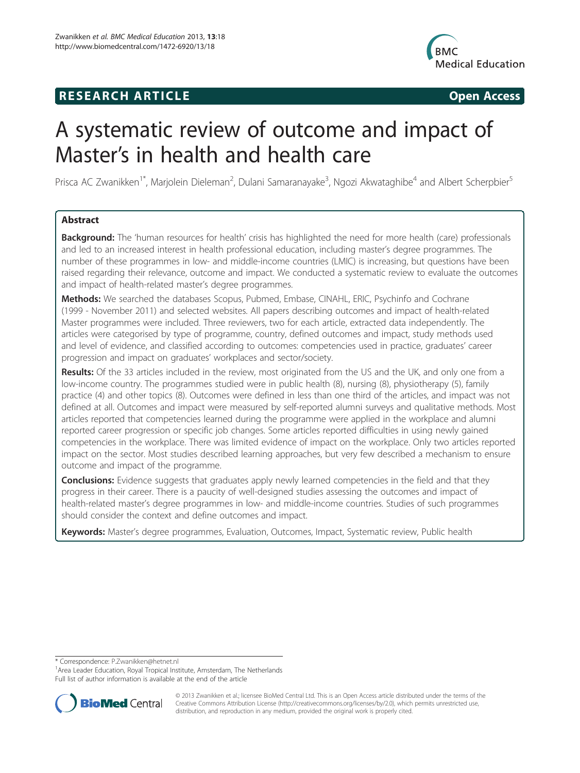## **RESEARCH ARTICLE Example 2018 12:00 Open Access**



# A systematic review of outcome and impact of Master's in health and health care

Prisca AC Zwanikken<sup>1\*</sup>, Marjolein Dieleman<sup>2</sup>, Dulani Samaranayake<sup>3</sup>, Ngozi Akwataghibe<sup>4</sup> and Albert Scherpbier<sup>5</sup>

## Abstract

Background: The 'human resources for health' crisis has highlighted the need for more health (care) professionals and led to an increased interest in health professional education, including master's degree programmes. The number of these programmes in low- and middle-income countries (LMIC) is increasing, but questions have been raised regarding their relevance, outcome and impact. We conducted a systematic review to evaluate the outcomes and impact of health-related master's degree programmes.

Methods: We searched the databases Scopus, Pubmed, Embase, CINAHL, ERIC, Psychinfo and Cochrane (1999 - November 2011) and selected websites. All papers describing outcomes and impact of health-related Master programmes were included. Three reviewers, two for each article, extracted data independently. The articles were categorised by type of programme, country, defined outcomes and impact, study methods used and level of evidence, and classified according to outcomes: competencies used in practice, graduates' career progression and impact on graduates' workplaces and sector/society.

Results: Of the 33 articles included in the review, most originated from the US and the UK, and only one from a low-income country. The programmes studied were in public health (8), nursing (8), physiotherapy (5), family practice (4) and other topics (8). Outcomes were defined in less than one third of the articles, and impact was not defined at all. Outcomes and impact were measured by self-reported alumni surveys and qualitative methods. Most articles reported that competencies learned during the programme were applied in the workplace and alumni reported career progression or specific job changes. Some articles reported difficulties in using newly gained competencies in the workplace. There was limited evidence of impact on the workplace. Only two articles reported impact on the sector. Most studies described learning approaches, but very few described a mechanism to ensure outcome and impact of the programme.

**Conclusions:** Evidence suggests that graduates apply newly learned competencies in the field and that they progress in their career. There is a paucity of well-designed studies assessing the outcomes and impact of health-related master's degree programmes in low- and middle-income countries. Studies of such programmes should consider the context and define outcomes and impact.

Keywords: Master's degree programmes, Evaluation, Outcomes, Impact, Systematic review, Public health

\* Correspondence: [P.Zwanikken@hetnet.nl](mailto:P.Zwanikken@hetnet.nl) <sup>1</sup>

<sup>1</sup> Area Leader Education, Royal Tropical Institute, Amsterdam, The Netherlands Full list of author information is available at the end of the article



© 2013 Zwanikken et al.; licensee BioMed Central Ltd. This is an Open Access article distributed under the terms of the Creative Commons Attribution License (<http://creativecommons.org/licenses/by/2.0>), which permits unrestricted use, distribution, and reproduction in any medium, provided the original work is properly cited.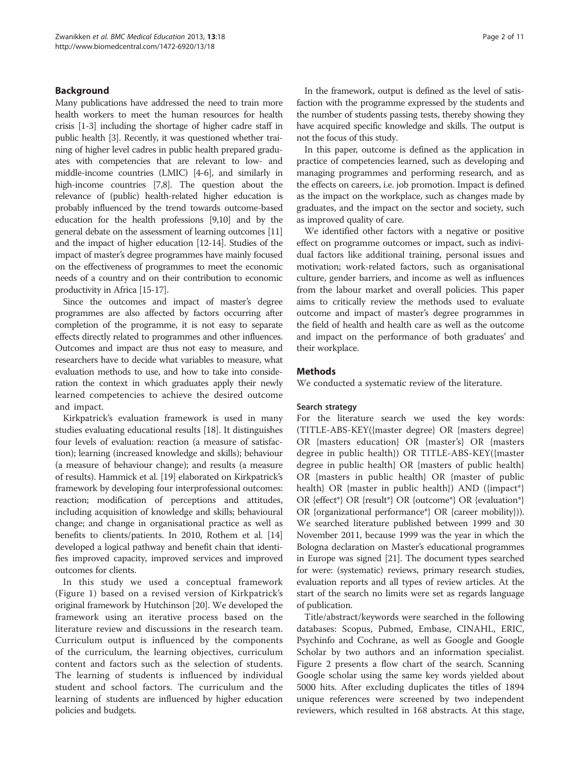## Background

Many publications have addressed the need to train more health workers to meet the human resources for health crisis [\[1-3](#page-9-0)] including the shortage of higher cadre staff in public health [\[3](#page-9-0)]. Recently, it was questioned whether training of higher level cadres in public health prepared graduates with competencies that are relevant to low- and middle-income countries (LMIC) [\[4-6](#page-9-0)], and similarly in high-income countries [\[7,8\]](#page-9-0). The question about the relevance of (public) health-related higher education is probably influenced by the trend towards outcome-based education for the health professions [\[9,10](#page-9-0)] and by the general debate on the assessment of learning outcomes [\[11](#page-9-0)] and the impact of higher education [\[12](#page-9-0)-[14](#page-9-0)]. Studies of the impact of master's degree programmes have mainly focused on the effectiveness of programmes to meet the economic needs of a country and on their contribution to economic productivity in Africa [\[15](#page-9-0)-[17](#page-9-0)].

Since the outcomes and impact of master's degree programmes are also affected by factors occurring after completion of the programme, it is not easy to separate effects directly related to programmes and other influences. Outcomes and impact are thus not easy to measure, and researchers have to decide what variables to measure, what evaluation methods to use, and how to take into consideration the context in which graduates apply their newly learned competencies to achieve the desired outcome and impact.

Kirkpatrick's evaluation framework is used in many studies evaluating educational results [\[18\]](#page-9-0). It distinguishes four levels of evaluation: reaction (a measure of satisfaction); learning (increased knowledge and skills); behaviour (a measure of behaviour change); and results (a measure of results). Hammick et al. [\[19\]](#page-9-0) elaborated on Kirkpatrick's framework by developing four interprofessional outcomes: reaction; modification of perceptions and attitudes, including acquisition of knowledge and skills; behavioural change; and change in organisational practice as well as benefits to clients/patients. In 2010, Rothem et al. [[14](#page-9-0)] developed a logical pathway and benefit chain that identifies improved capacity, improved services and improved outcomes for clients.

In this study we used a conceptual framework (Figure [1](#page-2-0)) based on a revised version of Kirkpatrick's original framework by Hutchinson [[20](#page-9-0)]. We developed the framework using an iterative process based on the literature review and discussions in the research team. Curriculum output is influenced by the components of the curriculum, the learning objectives, curriculum content and factors such as the selection of students. The learning of students is influenced by individual student and school factors. The curriculum and the learning of students are influenced by higher education policies and budgets.

In the framework, output is defined as the level of satisfaction with the programme expressed by the students and the number of students passing tests, thereby showing they have acquired specific knowledge and skills. The output is not the focus of this study.

In this paper, outcome is defined as the application in practice of competencies learned, such as developing and managing programmes and performing research, and as the effects on careers, i.e. job promotion. Impact is defined as the impact on the workplace, such as changes made by graduates, and the impact on the sector and society, such as improved quality of care.

We identified other factors with a negative or positive effect on programme outcomes or impact, such as individual factors like additional training, personal issues and motivation; work-related factors, such as organisational culture, gender barriers, and income as well as influences from the labour market and overall policies. This paper aims to critically review the methods used to evaluate outcome and impact of master's degree programmes in the field of health and health care as well as the outcome and impact on the performance of both graduates' and their workplace.

#### **Methods**

We conducted a systematic review of the literature.

#### Search strategy

For the literature search we used the key words: (TITLE-ABS-KEY({master degree} OR {masters degree} OR {masters education} OR {master's} OR {masters degree in public health}) OR TITLE-ABS-KEY({master degree in public health} OR {masters of public health} OR {masters in public health} OR {master of public health} OR {master in public health}) AND ({impact\*} OR {effect\*} OR {result\*} OR {outcome\*} OR {evaluation\*} OR {organizational performance\*} OR {career mobility})). We searched literature published between 1999 and 30 November 2011, because 1999 was the year in which the Bologna declaration on Master's educational programmes in Europe was signed [\[21\]](#page-9-0). The document types searched for were: (systematic) reviews, primary research studies, evaluation reports and all types of review articles. At the start of the search no limits were set as regards language of publication.

Title/abstract/keywords were searched in the following databases: Scopus, Pubmed, Embase, CINAHL, ERIC, Psychinfo and Cochrane, as well as Google and Google Scholar by two authors and an information specialist. Figure [2](#page-3-0) presents a flow chart of the search. Scanning Google scholar using the same key words yielded about 5000 hits. After excluding duplicates the titles of 1894 unique references were screened by two independent reviewers, which resulted in 168 abstracts. At this stage,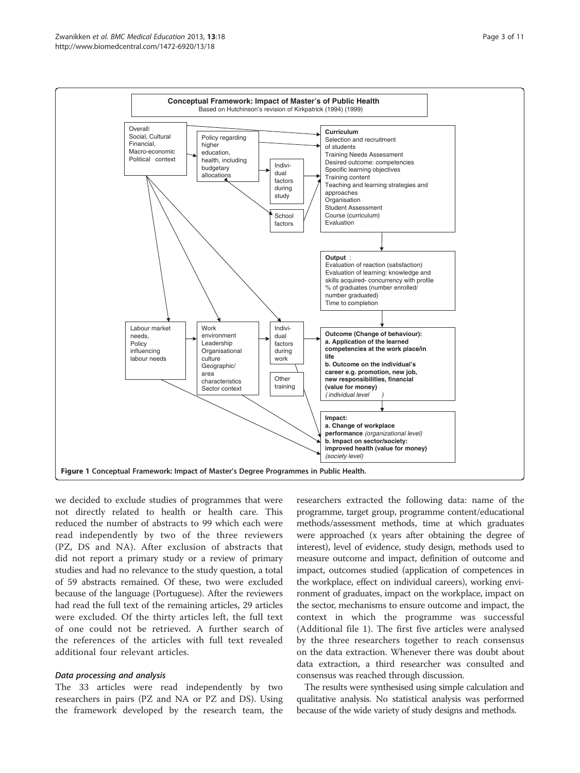<span id="page-2-0"></span>

we decided to exclude studies of programmes that were not directly related to health or health care. This reduced the number of abstracts to 99 which each were read independently by two of the three reviewers (PZ, DS and NA). After exclusion of abstracts that did not report a primary study or a review of primary studies and had no relevance to the study question, a total of 59 abstracts remained. Of these, two were excluded because of the language (Portuguese). After the reviewers had read the full text of the remaining articles, 29 articles were excluded. Of the thirty articles left, the full text of one could not be retrieved. A further search of the references of the articles with full text revealed additional four relevant articles.

#### Data processing and analysis

The 33 articles were read independently by two researchers in pairs (PZ and NA or PZ and DS). Using the framework developed by the research team, the researchers extracted the following data: name of the programme, target group, programme content/educational methods/assessment methods, time at which graduates were approached (x years after obtaining the degree of interest), level of evidence, study design, methods used to measure outcome and impact, definition of outcome and impact, outcomes studied (application of competences in the workplace, effect on individual careers), working environment of graduates, impact on the workplace, impact on the sector, mechanisms to ensure outcome and impact, the context in which the programme was successful (Additional file [1\)](#page-8-0). The first five articles were analysed by the three researchers together to reach consensus on the data extraction. Whenever there was doubt about data extraction, a third researcher was consulted and consensus was reached through discussion.

The results were synthesised using simple calculation and qualitative analysis. No statistical analysis was performed because of the wide variety of study designs and methods.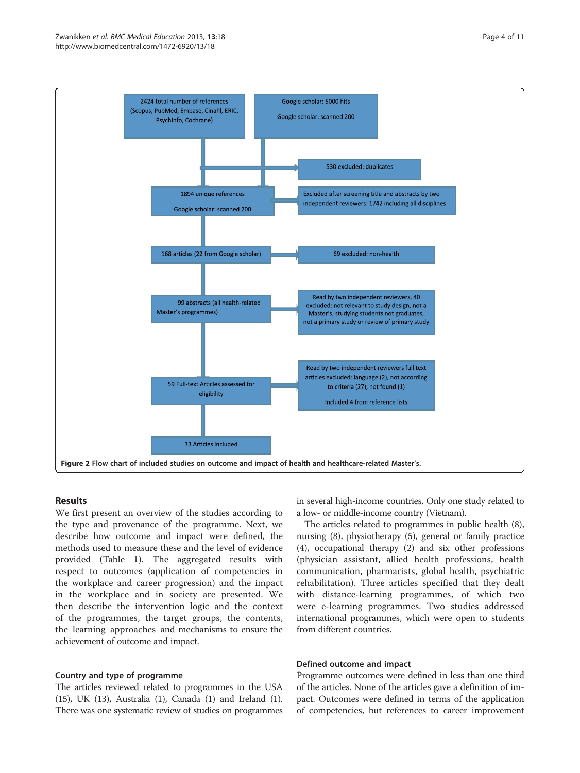<span id="page-3-0"></span>

## Results

We first present an overview of the studies according to the type and provenance of the programme. Next, we describe how outcome and impact were defined, the methods used to measure these and the level of evidence provided (Table [1](#page-4-0)). The aggregated results with respect to outcomes (application of competencies in the workplace and career progression) and the impact in the workplace and in society are presented. We then describe the intervention logic and the context of the programmes, the target groups, the contents, the learning approaches and mechanisms to ensure the achievement of outcome and impact.

#### Country and type of programme

The articles reviewed related to programmes in the USA (15), UK (13), Australia (1), Canada (1) and Ireland (1). There was one systematic review of studies on programmes in several high-income countries. Only one study related to a low- or middle-income country (Vietnam).

The articles related to programmes in public health (8), nursing (8), physiotherapy (5), general or family practice (4), occupational therapy (2) and six other professions (physician assistant, allied health professions, health communication, pharmacists, global health, psychiatric rehabilitation). Three articles specified that they dealt with distance-learning programmes, of which two were e-learning programmes. Two studies addressed international programmes, which were open to students from different countries.

#### Defined outcome and impact

Programme outcomes were defined in less than one third of the articles. None of the articles gave a definition of impact. Outcomes were defined in terms of the application of competencies, but references to career improvement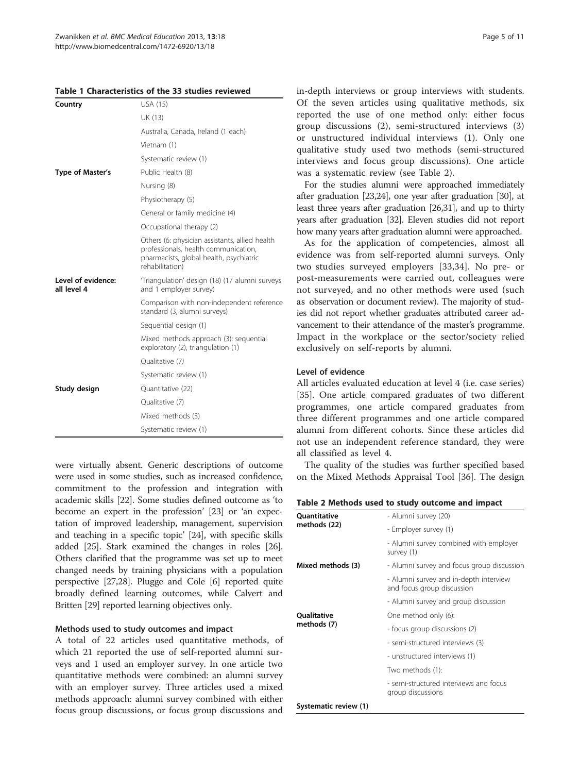<span id="page-4-0"></span>

|  | Table 1 Characteristics of the 33 studies reviewed |  |  |  |
|--|----------------------------------------------------|--|--|--|
|--|----------------------------------------------------|--|--|--|

| Country                           | USA (15)                                                                                                                                             |
|-----------------------------------|------------------------------------------------------------------------------------------------------------------------------------------------------|
|                                   | UK (13)                                                                                                                                              |
|                                   | Australia, Canada, Ireland (1 each)                                                                                                                  |
|                                   | Vietnam (1)                                                                                                                                          |
|                                   | Systematic review (1)                                                                                                                                |
| Type of Master's                  | Public Health (8)                                                                                                                                    |
|                                   | Nursing (8)                                                                                                                                          |
|                                   | Physiotherapy (5)                                                                                                                                    |
|                                   | General or family medicine (4)                                                                                                                       |
|                                   | Occupational therapy (2)                                                                                                                             |
|                                   | Others (6: physician assistants, allied health<br>professionals, health communication,<br>pharmacists, global health, psychiatric<br>rehabilitation) |
| Level of evidence:<br>all level 4 | Triangulation' design (18) (17 alumni surveys<br>and 1 employer survey)                                                                              |
|                                   | Comparison with non-independent reference<br>standard (3, alumni surveys)                                                                            |
|                                   | Sequential design (1)                                                                                                                                |
|                                   | Mixed methods approach (3): sequential<br>exploratory (2), triangulation (1)                                                                         |
|                                   | Qualitative (7)                                                                                                                                      |
|                                   | Systematic review (1)                                                                                                                                |
| Study design                      | Quantitative (22)                                                                                                                                    |
|                                   | Qualitative (7)                                                                                                                                      |
|                                   | Mixed methods (3)                                                                                                                                    |
|                                   | Systematic review (1)                                                                                                                                |

were virtually absent. Generic descriptions of outcome were used in some studies, such as increased confidence, commitment to the profession and integration with academic skills [\[22\]](#page-9-0). Some studies defined outcome as 'to become an expert in the profession' [\[23\]](#page-9-0) or 'an expectation of improved leadership, management, supervision and teaching in a specific topic' [[24](#page-9-0)], with specific skills added [\[25\]](#page-9-0). Stark examined the changes in roles [[26](#page-9-0)]. Others clarified that the programme was set up to meet changed needs by training physicians with a population perspective [\[27,28\]](#page-9-0). Plugge and Cole [\[6](#page-9-0)] reported quite broadly defined learning outcomes, while Calvert and Britten [\[29\]](#page-9-0) reported learning objectives only.

## Methods used to study outcomes and impact

A total of 22 articles used quantitative methods, of which 21 reported the use of self-reported alumni surveys and 1 used an employer survey. In one article two quantitative methods were combined: an alumni survey with an employer survey. Three articles used a mixed methods approach: alumni survey combined with either focus group discussions, or focus group discussions and in-depth interviews or group interviews with students. Of the seven articles using qualitative methods, six reported the use of one method only: either focus group discussions (2), semi-structured interviews (3) or unstructured individual interviews (1). Only one qualitative study used two methods (semi-structured interviews and focus group discussions). One article was a systematic review (see Table 2).

For the studies alumni were approached immediately after graduation [\[23,24](#page-9-0)], one year after graduation [\[30\]](#page-9-0), at least three years after graduation [[26,31\]](#page-9-0), and up to thirty years after graduation [\[32\]](#page-9-0). Eleven studies did not report how many years after graduation alumni were approached.

As for the application of competencies, almost all evidence was from self-reported alumni surveys. Only two studies surveyed employers [\[33,34](#page-9-0)]. No pre- or post-measurements were carried out, colleagues were not surveyed, and no other methods were used (such as observation or document review). The majority of studies did not report whether graduates attributed career advancement to their attendance of the master's programme. Impact in the workplace or the sector/society relied exclusively on self-reports by alumni.

## Level of evidence

All articles evaluated education at level 4 (i.e. case series) [[35\]](#page-9-0). One article compared graduates of two different programmes, one article compared graduates from three different programmes and one article compared alumni from different cohorts. Since these articles did not use an independent reference standard, they were all classified as level 4.

The quality of the studies was further specified based on the Mixed Methods Appraisal Tool [[36\]](#page-9-0). The design

Table 2 Methods used to study outcome and impact

| <b>Ouantitative</b>   | - Alumni survey (20)                                                 |
|-----------------------|----------------------------------------------------------------------|
| methods (22)          | - Employer survey (1)                                                |
|                       | - Alumni survey combined with employer<br>survey (1)                 |
| Mixed methods (3)     | - Alumni survey and focus group discussion                           |
|                       | - Alumni survey and in-depth interview<br>and focus group discussion |
|                       | - Alumni survey and group discussion                                 |
| <b>Oualitative</b>    | One method only (6):                                                 |
| methods (7)           | - focus group discussions (2)                                        |
|                       | - semi-structured interviews (3)                                     |
|                       | - unstructured interviews (1)                                        |
|                       | Two methods (1):                                                     |
|                       | - semi-structured interviews and focus<br>group discussions          |
| Systematic review (1) |                                                                      |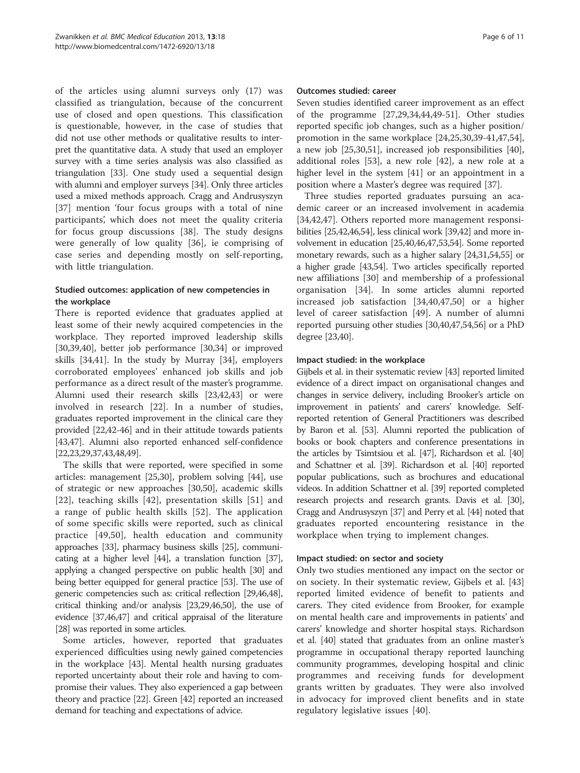of the articles using alumni surveys only (17) was classified as triangulation, because of the concurrent use of closed and open questions. This classification is questionable, however, in the case of studies that did not use other methods or qualitative results to interpret the quantitative data. A study that used an employer survey with a time series analysis was also classified as triangulation [\[33](#page-9-0)]. One study used a sequential design with alumni and employer surveys [[34](#page-9-0)]. Only three articles used a mixed methods approach. Cragg and Andrusyszyn [[37\]](#page-9-0) mention 'four focus groups with a total of nine participants', which does not meet the quality criteria for focus group discussions [\[38](#page-9-0)]. The study designs were generally of low quality [\[36](#page-9-0)], ie comprising of case series and depending mostly on self-reporting, with little triangulation.

## Studied outcomes: application of new competencies in the workplace

There is reported evidence that graduates applied at least some of their newly acquired competencies in the workplace. They reported improved leadership skills [[30,39,40\]](#page-9-0), better job performance [[30,34\]](#page-9-0) or improved skills [[34,41\]](#page-9-0). In the study by Murray [[34\]](#page-9-0), employers corroborated employees' enhanced job skills and job performance as a direct result of the master's programme. Alumni used their research skills [\[23,42,43\]](#page-9-0) or were involved in research [\[22](#page-9-0)]. In a number of studies, graduates reported improvement in the clinical care they provided [\[22,42-46\]](#page-9-0) and in their attitude towards patients [[43,47](#page-9-0)]. Alumni also reported enhanced self-confidence [[22,23,29,37](#page-9-0),[43](#page-9-0)[,48,49\]](#page-10-0).

The skills that were reported, were specified in some articles: management [\[25,30\]](#page-9-0), problem solving [[44\]](#page-9-0), use of strategic or new approaches [\[30](#page-9-0)[,50](#page-10-0)], academic skills [[22](#page-9-0)], teaching skills [[42](#page-9-0)], presentation skills [[51](#page-10-0)] and a range of public health skills [[52](#page-10-0)]. The application of some specific skills were reported, such as clinical practice [[49](#page-10-0),[50\]](#page-10-0), health education and community approaches [[33\]](#page-9-0), pharmacy business skills [\[25](#page-9-0)], communicating at a higher level [\[44](#page-9-0)], a translation function [\[37](#page-9-0)], applying a changed perspective on public health [\[30\]](#page-9-0) and being better equipped for general practice [[53](#page-10-0)]. The use of generic competencies such as: critical reflection [\[29,46](#page-9-0)[,48](#page-10-0)], critical thinking and/or analysis [\[23,29,46](#page-9-0)[,50\]](#page-10-0), the use of evidence [\[37,46,47](#page-9-0)] and critical appraisal of the literature [[28](#page-9-0)] was reported in some articles.

Some articles, however, reported that graduates experienced difficulties using newly gained competencies in the workplace [\[43\]](#page-9-0). Mental health nursing graduates reported uncertainty about their role and having to compromise their values. They also experienced a gap between theory and practice [\[22\]](#page-9-0). Green [\[42\]](#page-9-0) reported an increased demand for teaching and expectations of advice.

### Outcomes studied: career

Seven studies identified career improvement as an effect of the programme [\[27,29,34,44](#page-9-0)[,49](#page-10-0)-[51](#page-10-0)]. Other studies reported specific job changes, such as a higher position/ promotion in the same workplace [\[24,25,30,39-41,47](#page-9-0)[,54](#page-10-0)], a new job [[25](#page-9-0),[30](#page-9-0),[51](#page-10-0)], increased job responsibilities [\[40](#page-9-0)], additional roles [\[53](#page-10-0)], a new role [\[42](#page-9-0)], a new role at a higher level in the system [[41](#page-9-0)] or an appointment in a position where a Master's degree was required [[37\]](#page-9-0).

Three studies reported graduates pursuing an academic career or an increased involvement in academia [[34,42,47\]](#page-9-0). Others reported more management responsibilities [[25,42,46](#page-9-0)[,54\]](#page-10-0), less clinical work [\[39,42](#page-9-0)] and more involvement in education [\[25,40,46,47](#page-9-0)[,53,54](#page-10-0)]. Some reported monetary rewards, such as a higher salary [[24,31,](#page-9-0)[54,55\]](#page-10-0) or a higher grade [\[43,](#page-9-0)[54](#page-10-0)]. Two articles specifically reported new affiliations [\[30](#page-9-0)] and membership of a professional organisation [[34\]](#page-9-0). In some articles alumni reported increased job satisfaction [[34,40,47](#page-9-0)[,50](#page-10-0)] or a higher level of career satisfaction [[49\]](#page-10-0). A number of alumni reported pursuing other studies [\[30,40,47](#page-9-0)[,54,56](#page-10-0)] or a PhD degree [[23,40](#page-9-0)].

## Impact studied: in the workplace

Gijbels et al. in their systematic review [\[43\]](#page-9-0) reported limited evidence of a direct impact on organisational changes and changes in service delivery, including Brooker's article on improvement in patients' and carers' knowledge. Selfreported retention of General Practitioners was described by Baron et al. [\[53\]](#page-10-0). Alumni reported the publication of books or book chapters and conference presentations in the articles by Tsimtsiou et al. [[47](#page-9-0)], Richardson et al. [\[40](#page-9-0)] and Schattner et al. [\[39\]](#page-9-0). Richardson et al. [\[40\]](#page-9-0) reported popular publications, such as brochures and educational videos. In addition Schattner et al. [[39](#page-9-0)] reported completed research projects and research grants. Davis et al. [\[30](#page-9-0)], Cragg and Andrusyszyn [[37](#page-9-0)] and Perry et al. [\[44\]](#page-9-0) noted that graduates reported encountering resistance in the workplace when trying to implement changes.

#### Impact studied: on sector and society

Only two studies mentioned any impact on the sector or on society. In their systematic review, Gijbels et al. [[43](#page-9-0)] reported limited evidence of benefit to patients and carers. They cited evidence from Brooker, for example on mental health care and improvements in patients' and carers' knowledge and shorter hospital stays. Richardson et al. [\[40](#page-9-0)] stated that graduates from an online master's programme in occupational therapy reported launching community programmes, developing hospital and clinic programmes and receiving funds for development grants written by graduates. They were also involved in advocacy for improved client benefits and in state regulatory legislative issues [[40\]](#page-9-0).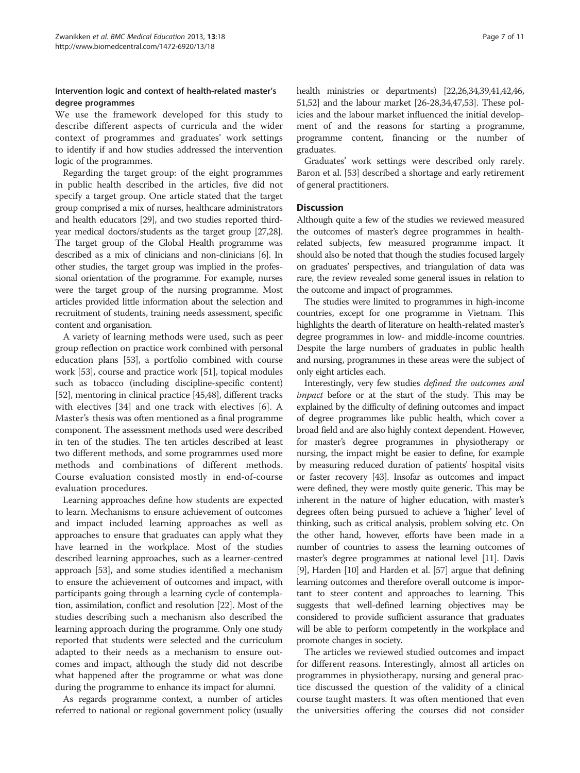## Intervention logic and context of health-related master's degree programmes

We use the framework developed for this study to describe different aspects of curricula and the wider context of programmes and graduates' work settings to identify if and how studies addressed the intervention logic of the programmes.

Regarding the target group: of the eight programmes in public health described in the articles, five did not specify a target group. One article stated that the target group comprised a mix of nurses, healthcare administrators and health educators [[29](#page-9-0)], and two studies reported thirdyear medical doctors/students as the target group [[27,28](#page-9-0)]. The target group of the Global Health programme was described as a mix of clinicians and non-clinicians [\[6](#page-9-0)]. In other studies, the target group was implied in the professional orientation of the programme. For example, nurses were the target group of the nursing programme. Most articles provided little information about the selection and recruitment of students, training needs assessment, specific content and organisation.

A variety of learning methods were used, such as peer group reflection on practice work combined with personal education plans [\[53](#page-10-0)], a portfolio combined with course work [\[53\]](#page-10-0), course and practice work [[51](#page-10-0)], topical modules such as tobacco (including discipline-specific content) [[52](#page-10-0)], mentoring in clinical practice [[45](#page-9-0)[,48](#page-10-0)], different tracks with electives [[34\]](#page-9-0) and one track with electives [[6\]](#page-9-0). A Master's thesis was often mentioned as a final programme component. The assessment methods used were described in ten of the studies. The ten articles described at least two different methods, and some programmes used more methods and combinations of different methods. Course evaluation consisted mostly in end-of-course evaluation procedures.

Learning approaches define how students are expected to learn. Mechanisms to ensure achievement of outcomes and impact included learning approaches as well as approaches to ensure that graduates can apply what they have learned in the workplace. Most of the studies described learning approaches, such as a learner-centred approach [[53](#page-10-0)], and some studies identified a mechanism to ensure the achievement of outcomes and impact, with participants going through a learning cycle of contemplation, assimilation, conflict and resolution [\[22\]](#page-9-0). Most of the studies describing such a mechanism also described the learning approach during the programme. Only one study reported that students were selected and the curriculum adapted to their needs as a mechanism to ensure outcomes and impact, although the study did not describe what happened after the programme or what was done during the programme to enhance its impact for alumni.

As regards programme context, a number of articles referred to national or regional government policy (usually health ministries or departments) [[22,26,34,39,41,42,46](#page-9-0), [51,52\]](#page-10-0) and the labour market [[26](#page-9-0)-[28,34,47,](#page-9-0)[53](#page-10-0)]. These policies and the labour market influenced the initial development of and the reasons for starting a programme, programme content, financing or the number of graduates.

Graduates' work settings were described only rarely. Baron et al. [[53](#page-10-0)] described a shortage and early retirement of general practitioners.

## **Discussion**

Although quite a few of the studies we reviewed measured the outcomes of master's degree programmes in healthrelated subjects, few measured programme impact. It should also be noted that though the studies focused largely on graduates' perspectives, and triangulation of data was rare, the review revealed some general issues in relation to the outcome and impact of programmes.

The studies were limited to programmes in high-income countries, except for one programme in Vietnam. This highlights the dearth of literature on health-related master's degree programmes in low- and middle-income countries. Despite the large numbers of graduates in public health and nursing, programmes in these areas were the subject of only eight articles each.

Interestingly, very few studies defined the outcomes and impact before or at the start of the study. This may be explained by the difficulty of defining outcomes and impact of degree programmes like public health, which cover a broad field and are also highly context dependent. However, for master's degree programmes in physiotherapy or nursing, the impact might be easier to define, for example by measuring reduced duration of patients' hospital visits or faster recovery [\[43\]](#page-9-0). Insofar as outcomes and impact were defined, they were mostly quite generic. This may be inherent in the nature of higher education, with master's degrees often being pursued to achieve a 'higher' level of thinking, such as critical analysis, problem solving etc. On the other hand, however, efforts have been made in a number of countries to assess the learning outcomes of master's degree programmes at national level [\[11\]](#page-9-0). Davis [[9](#page-9-0)], Harden [\[10\]](#page-9-0) and Harden et al. [[57](#page-10-0)] argue that defining learning outcomes and therefore overall outcome is important to steer content and approaches to learning. This suggests that well-defined learning objectives may be considered to provide sufficient assurance that graduates will be able to perform competently in the workplace and promote changes in society.

The articles we reviewed studied outcomes and impact for different reasons. Interestingly, almost all articles on programmes in physiotherapy, nursing and general practice discussed the question of the validity of a clinical course taught masters. It was often mentioned that even the universities offering the courses did not consider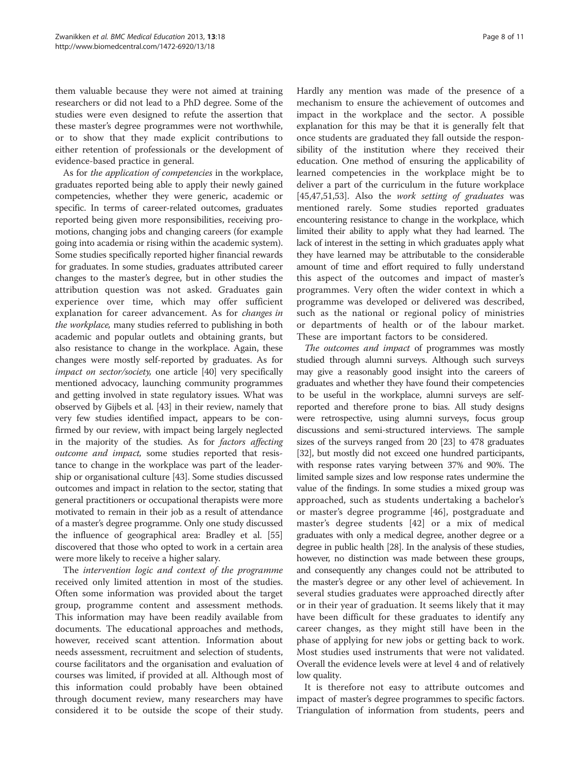them valuable because they were not aimed at training researchers or did not lead to a PhD degree. Some of the studies were even designed to refute the assertion that these master's degree programmes were not worthwhile, or to show that they made explicit contributions to either retention of professionals or the development of evidence-based practice in general.

As for the application of competencies in the workplace, graduates reported being able to apply their newly gained competencies, whether they were generic, academic or specific. In terms of career-related outcomes, graduates reported being given more responsibilities, receiving promotions, changing jobs and changing careers (for example going into academia or rising within the academic system). Some studies specifically reported higher financial rewards for graduates. In some studies, graduates attributed career changes to the master's degree, but in other studies the attribution question was not asked. Graduates gain experience over time, which may offer sufficient explanation for career advancement. As for changes in the workplace, many studies referred to publishing in both academic and popular outlets and obtaining grants, but also resistance to change in the workplace. Again, these changes were mostly self-reported by graduates. As for impact on sector/society, one article [\[40\]](#page-9-0) very specifically mentioned advocacy, launching community programmes and getting involved in state regulatory issues. What was observed by Gijbels et al. [[43](#page-9-0)] in their review, namely that very few studies identified impact, appears to be confirmed by our review, with impact being largely neglected in the majority of the studies. As for factors affecting outcome and impact, some studies reported that resistance to change in the workplace was part of the leadership or organisational culture [\[43\]](#page-9-0). Some studies discussed outcomes and impact in relation to the sector, stating that general practitioners or occupational therapists were more motivated to remain in their job as a result of attendance of a master's degree programme. Only one study discussed the influence of geographical area: Bradley et al. [[55](#page-10-0)] discovered that those who opted to work in a certain area were more likely to receive a higher salary.

The intervention logic and context of the programme received only limited attention in most of the studies. Often some information was provided about the target group, programme content and assessment methods. This information may have been readily available from documents. The educational approaches and methods, however, received scant attention. Information about needs assessment, recruitment and selection of students, course facilitators and the organisation and evaluation of courses was limited, if provided at all. Although most of this information could probably have been obtained through document review, many researchers may have considered it to be outside the scope of their study.

Hardly any mention was made of the presence of a mechanism to ensure the achievement of outcomes and impact in the workplace and the sector. A possible explanation for this may be that it is generally felt that once students are graduated they fall outside the responsibility of the institution where they received their education. One method of ensuring the applicability of learned competencies in the workplace might be to deliver a part of the curriculum in the future workplace [[45,47,](#page-9-0)[51,53\]](#page-10-0). Also the work setting of graduates was mentioned rarely. Some studies reported graduates encountering resistance to change in the workplace, which limited their ability to apply what they had learned. The lack of interest in the setting in which graduates apply what they have learned may be attributable to the considerable amount of time and effort required to fully understand this aspect of the outcomes and impact of master's programmes. Very often the wider context in which a programme was developed or delivered was described, such as the national or regional policy of ministries or departments of health or of the labour market. These are important factors to be considered.

The outcomes and impact of programmes was mostly studied through alumni surveys. Although such surveys may give a reasonably good insight into the careers of graduates and whether they have found their competencies to be useful in the workplace, alumni surveys are selfreported and therefore prone to bias. All study designs were retrospective, using alumni surveys, focus group discussions and semi-structured interviews. The sample sizes of the surveys ranged from 20 [\[23\]](#page-9-0) to 478 graduates [[32](#page-9-0)], but mostly did not exceed one hundred participants, with response rates varying between 37% and 90%. The limited sample sizes and low response rates undermine the value of the findings. In some studies a mixed group was approached, such as students undertaking a bachelor's or master's degree programme [[46\]](#page-9-0), postgraduate and master's degree students [\[42](#page-9-0)] or a mix of medical graduates with only a medical degree, another degree or a degree in public health [\[28\]](#page-9-0). In the analysis of these studies, however, no distinction was made between these groups, and consequently any changes could not be attributed to the master's degree or any other level of achievement. In several studies graduates were approached directly after or in their year of graduation. It seems likely that it may have been difficult for these graduates to identify any career changes, as they might still have been in the phase of applying for new jobs or getting back to work. Most studies used instruments that were not validated. Overall the evidence levels were at level 4 and of relatively low quality.

It is therefore not easy to attribute outcomes and impact of master's degree programmes to specific factors. Triangulation of information from students, peers and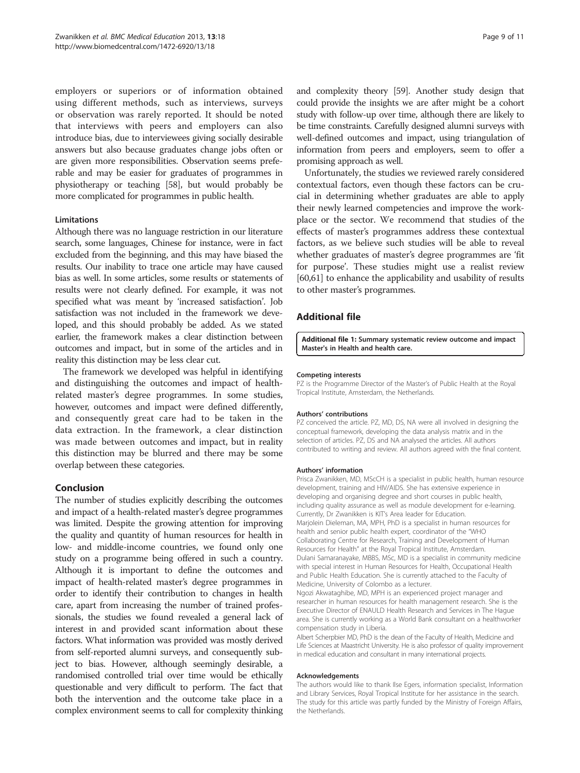<span id="page-8-0"></span>employers or superiors or of information obtained using different methods, such as interviews, surveys or observation was rarely reported. It should be noted that interviews with peers and employers can also introduce bias, due to interviewees giving socially desirable answers but also because graduates change jobs often or are given more responsibilities. Observation seems preferable and may be easier for graduates of programmes in physiotherapy or teaching [\[58](#page-10-0)], but would probably be more complicated for programmes in public health.

#### Limitations

Although there was no language restriction in our literature search, some languages, Chinese for instance, were in fact excluded from the beginning, and this may have biased the results. Our inability to trace one article may have caused bias as well. In some articles, some results or statements of results were not clearly defined. For example, it was not specified what was meant by 'increased satisfaction'. Job satisfaction was not included in the framework we developed, and this should probably be added. As we stated earlier, the framework makes a clear distinction between outcomes and impact, but in some of the articles and in reality this distinction may be less clear cut.

The framework we developed was helpful in identifying and distinguishing the outcomes and impact of healthrelated master's degree programmes. In some studies, however, outcomes and impact were defined differently, and consequently great care had to be taken in the data extraction. In the framework, a clear distinction was made between outcomes and impact, but in reality this distinction may be blurred and there may be some overlap between these categories.

#### Conclusion

The number of studies explicitly describing the outcomes and impact of a health-related master's degree programmes was limited. Despite the growing attention for improving the quality and quantity of human resources for health in low- and middle-income countries, we found only one study on a programme being offered in such a country. Although it is important to define the outcomes and impact of health-related master's degree programmes in order to identify their contribution to changes in health care, apart from increasing the number of trained professionals, the studies we found revealed a general lack of interest in and provided scant information about these factors. What information was provided was mostly derived from self-reported alumni surveys, and consequently subject to bias. However, although seemingly desirable, a randomised controlled trial over time would be ethically questionable and very difficult to perform. The fact that both the intervention and the outcome take place in a complex environment seems to call for complexity thinking

and complexity theory [\[59\]](#page-10-0). Another study design that could provide the insights we are after might be a cohort study with follow-up over time, although there are likely to be time constraints. Carefully designed alumni surveys with well-defined outcomes and impact, using triangulation of information from peers and employers, seem to offer a promising approach as well.

Unfortunately, the studies we reviewed rarely considered contextual factors, even though these factors can be crucial in determining whether graduates are able to apply their newly learned competencies and improve the workplace or the sector. We recommend that studies of the effects of master's programmes address these contextual factors, as we believe such studies will be able to reveal whether graduates of master's degree programmes are 'fit for purpose'. These studies might use a realist review [[60](#page-10-0),[61](#page-10-0)] to enhance the applicability and usability of results to other master's programmes.

#### Additional file

[Additional file 1:](http://www.biomedcentral.com/content/supplementary/1472-6920-13-18-S1.xls) Summary systematic review outcome and impact Master's in Health and health care.

#### Competing interests

PZ is the Programme Director of the Master's of Public Health at the Royal Tropical Institute, Amsterdam, the Netherlands.

#### Authors' contributions

PZ conceived the article. PZ, MD, DS, NA were all involved in designing the conceptual framework, developing the data analysis matrix and in the selection of articles. PZ, DS and NA analysed the articles. All authors contributed to writing and review. All authors agreed with the final content.

#### Authors' information

Prisca Zwanikken, MD, MScCH is a specialist in public health, human resource development, training and HIV/AIDS. She has extensive experience in developing and organising degree and short courses in public health, including quality assurance as well as module development for e-learning. Currently, Dr Zwanikken is KIT's Area leader for Education. Marjolein Dieleman, MA, MPH, PhD is a specialist in human resources for health and senior public health expert, coordinator of the "WHO Collaborating Centre for Research, Training and Development of Human Resources for Health" at the Royal Tropical Institute, Amsterdam. Dulani Samaranayake, MBBS, MSc, MD is a specialist in community medicine with special interest in Human Resources for Health, Occupational Health and Public Health Education. She is currently attached to the Faculty of Medicine, University of Colombo as a lecturer.

Ngozi Akwataghibe, MD, MPH is an experienced project manager and researcher in human resources for health management research. She is the Executive Director of ENAULD Health Research and Services in The Hague area. She is currently working as a World Bank consultant on a healthworker compensation study in Liberia.

Albert Scherpbier MD, PhD is the dean of the Faculty of Health, Medicine and Life Sciences at Maastricht University. He is also professor of quality improvement in medical education and consultant in many international projects.

#### Acknowledgements

The authors would like to thank Ilse Egers, information specialist, Information and Library Services, Royal Tropical Institute for her assistance in the search. The study for this article was partly funded by the Ministry of Foreign Affairs, the Netherlands.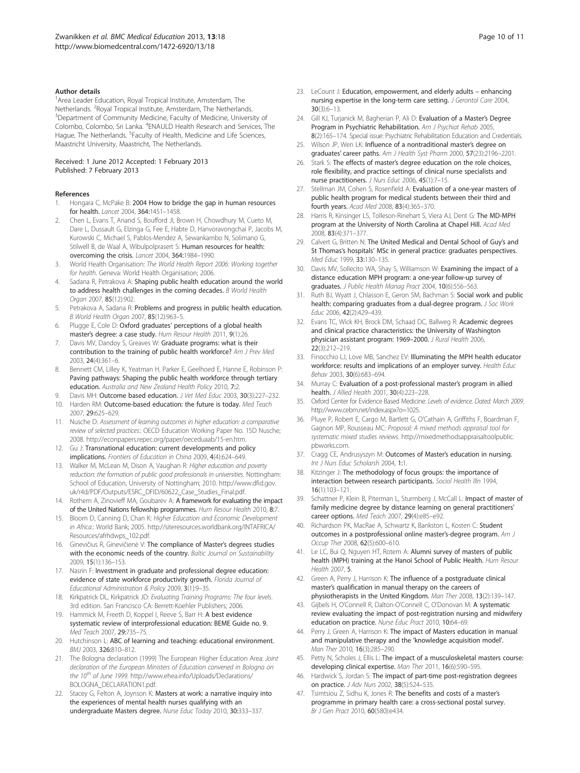#### <span id="page-9-0"></span>Author details

<sup>1</sup> Area Leader Education, Royal Tropical Institute, Amsterdam, The Netherlands. <sup>2</sup>Royal Tropical Institute, Amsterdam, The Netherlands.<br><sup>3</sup>Department of Community Medicine, Faculty of Medicine, Univers <sup>3</sup>Department of Community Medicine, Faculty of Medicine, University of Colombo, Colombo, Sri Lanka. <sup>4</sup>ENAULD Health Research and Services, The Hague, The Netherlands. <sup>5</sup>Faculty of Health, Medicine and Life Sciences, Maastricht University, Maastricht, The Netherlands.

#### Received: 1 June 2012 Accepted: 1 February 2013 Published: 7 February 2013

#### References

- Hongara C, McPake B: 2004 How to bridge the gap in human resources for health. Lancet 2004, 364:1451–1458.
- 2. Chen L, Evans T, Anand S, Boufford JI, Brown H, Chowdhury M, Cueto M, Dare L, Dussault G, Elzinga G, Fee E, Habte D, Hanvoravongchai P, Jacobs M, Kurowski C, Michael S, Pablos-Mendez A, Sewankambo N, Solimano G, Stilwell B, de Waal A, Wibulpolprasert S: Human resources for health: overcoming the crisis. Lancet 2004, 364:1984–1990.
- 3. World Health Organisation: The World Health Report 2006: Working together for health. Geneva: World Health Organisation; 2006.
- 4. Sadana R, Petrakova A: Shaping public health education around the world to address health challenges in the coming decades. B World Health Organ 2007, 85(12):902.
- 5. Petrakova A, Sadana R: Problems and progress in public health education. B World Health Organ 2007, 85(12):963–5.
- 6. Plugge E, Cole D: Oxford graduates' perceptions of a global health master's degree: a case study. Hum Resour Health 2011, 9(1):26.
- 7. Davis MV, Dandoy S, Greaves W: Graduate programs: what is their contribution to the training of public health workforce? Am J Prev Med 2003, 24(4):361–6.
- 8. Bennett CM, Lilley K, Yeatman H, Parker E, Geelhoed E, Hanne E, Robinson P: Paving pathways: Shaping the public health workforce through tertiary education. Australia and New Zealand Health Policy 2010, 7:2.
- Davis MH: Outcome based education. J Vet Med Educ 2003, 30(3):227-232.
- 10. Harden RM: Outcome-based education: the future is today. Med Teach 2007, 29:625–629.
- 11. Nusche D: Assessment of learning outcomes in higher education: a comparative review of selected practices.: OECD Education Working Paper No. 15D Nusche; 2008. [http://econpapers.repec.org/paper/oeceduaab/15-en.htm.](http://econpapers.repec.org/paper/oeceduaab/15-en.htm)
- 12. Gu J: Transnational education: current developments and policy implications. Frontiers of Education in China 2009, 4(4):624–649.
- 13. Walker M, McLean M, Dison A, Vaughan R: Higher education and poverty reduction: the formation of public good professionals in universities. Nottingham: School of Education, University of Nottingham; 2010. [http://www.dfid.gov.](http://www.dfid.gov.uk/r4d/PDF/Outputs/ESRC_DFID/60622_Case_Studies_Final.pdf) [uk/r4d/PDF/Outputs/ESRC\\_DFID/60622\\_Case\\_Studies\\_Final.pdf](http://www.dfid.gov.uk/r4d/PDF/Outputs/ESRC_DFID/60622_Case_Studies_Final.pdf).
- 14. Rothem A, Zinovieff MA, Goubarev A: A framework for evaluating the impact of the United Nations fellowship programmes. Hum Resour Health 2010, 8:7.
- 15. Bloom D, Canning D, Chan K: Higher Education and Economic Development in Africa.: World Bank; 2005. [http://siteresources.worldbank.org/INTAFRICA/](http://siteresources.worldbank.org/INTAFRICA/Resources/afrhdwps_102.pdf) [Resources/afrhdwps\\_102.pdf](http://siteresources.worldbank.org/INTAFRICA/Resources/afrhdwps_102.pdf).
- 16. Ginevičius R, Ginevičienė V: The compliance of Master's degrees studies with the economic needs of the country. Baltic Journal on Sustainability 2009, 15(1):136–153.
- 17. Nasrin F: Investment in graduate and professional degree education: evidence of state workforce productivity growth. Florida Journal of Educational Administration & Policy 2009, 3(1):9–35.
- 18. Kirkpatrick DL, Kirkpatrick JD: Evaluating Training Programs: The four levels. 3rd edition. San Francisco CA: Berrett-Koehler Publishers; 2006.
- 19. Hammick M, Freeth D, Koppel I, Reeve S, Barr H: A best evidence systematic review of interprofessional education: BEME Guide no. 9. Med Teach 2007, 29:735–75.
- 20. Hutchinson L: ABC of learning and teaching: educational environment. BMJ 2003, 326:810–812.
- 21. The Bologna declaration (1999) The European Higher Education Area: Joint declaration of the European Ministers of Education convened in Bologna on the 10<sup>th</sup> of June 1999. [http://www.ehea.info/Uploads/Declarations/](http://www.ehea.info/Uploads/Declarations/BOLOGNA_DECLARATION1.pdf) [BOLOGNA\\_DECLARATION1.pdf.](http://www.ehea.info/Uploads/Declarations/BOLOGNA_DECLARATION1.pdf)
- 22. Stacey G, Felton A, Joynson K: Masters at work: a narrative inquiry into the experiences of mental health nurses qualifying with an undergraduate Masters degree. Nurse Educ Today 2010, 30:333–337.
- 23. LeCount J: Education, empowerment, and elderly adults enhancing nursing expertise in the long-term care setting. J Gerontol Care 2004, 30(3):6–13.
- 24. Gill KJ, Turianick M, Bagherian P, Ali D: Evaluation of a Master's Degree Program in Psychiatric Rehabilitation. Am J Psychiat Rehab 2005, 8(2):165–174. Special issue: Psychiatric Rehabilitation Education and Credentials.
- 25. Wilson JP, Wen LK: Influence of a nontraditional master's degree on graduates' career paths. Am J Health Syst Pharm 2000, 57(23):2196–2201.
- 26. Stark S: The effects of master's degree education on the role choices, role flexibility, and practice settings of clinical nurse specialists and nurse practitioners. J Nurs Educ 2006, 45(1):7–15.
- 27. Stellman JM, Cohen S, Rosenfield A: Evaluation of a one-vear masters of public health program for medical students between their third and fourth years. Acad Med 2008, 83(4):365–370.
- 28. Harris R, Kinsinger LS, Tolleson-Rinehart S, Viera AJ, Dent G: The MD-MPH program at the University of North Carolina at Chapel Hill. Acad Med 2008, 83(4):371–377.
- 29. Calvert G, Britten N: The United Medical and Dental School of Guy's and St Thomas's hospitals' MSc in general practice: graduates perspectives. Med Educ 1999, 33:130–135.
- 30. Davis MV, Sollecito WA, Shay S, Williamson W: Examining the impact of a distance education MPH program: a one-year follow-up survey of graduates. J Public Health Manag Pract 2004, 10(6):556–563.
- 31. Ruth BJ, Wyatt J, Chlasson E, Geron SM, Bachman S: Social work and public health: comparing graduates from a dual-degree program. *J Soc Work* Educ 2006, 42(2):429–439.
- 32. Evans TC, Wick KH, Brock DM, Schaad DC, Ballweg R: Academic degrees and clinical practice characteristics: the University of Washington physician assistant program: 1969–2000. J Rural Health 2006, 22(3):212–219.
- 33. Finocchio LJ, Love MB, Sanchez EV: Illuminating the MPH health educator workforce: results and implications of an employer survey. Health Educ Behav 2003, 30(6):683–694.
- 34. Murray C: Evaluation of a post-professional master's program in allied health. J Allied Health 2001, 30(4):223–228.
- 35. Oxford Center for Evidence Based Medicine: Levels of evidence. Dated: March 2009. <http://www.cebm.net/index.aspx?o=1025>.
- 36. Pluye P, Robert E, Cargo M, Bartlett G, O'Cathain A, Griffiths F, Boardman F, Gagnon MP, Rousseau MC: Proposal: A mixed methods appraisal tool for systematic mixed studies reviews. [http://mixedmethodsappraisaltoolpublic.](http://mixedmethodsappraisaltoolpublic.pbworks.com/) [pbworks.com.](http://mixedmethodsappraisaltoolpublic.pbworks.com/)
- 37. Cragg CE, Andrusyszyn M: Outcomes of Master's education in nursing. Int J Nurs Educ Scholarsh 2004, 1:1.
- 38. Kitzinger J: The methodology of focus groups: the importance of interaction between research participants. Sociol Health Illn 1994, 16(1):103–121.
- 39. Schattner P, Klein B, Piterman L, Sturmberg J, McCall L: Impact of master of family medicine degree by distance learning on general practitioners' career options. Med Teach 2007, 29(4):e85–e92.
- Richardson PK, MacRae A, Schwartz K, Bankston L, Kosten C: Student outcomes in a postprofessional online master's-degree program. Am J Occup Ther 2008, 62(5):600–610.
- 41. Le LC, Bui Q, Nguyen HT, Rotem A: Alumni survey of masters of public health (MPH) training at the Hanoi School of Public Health. Hum Resour Health 2007, 5.
- 42. Green A, Perry J, Harrison K: The influence of a postgraduate clinical master's qualification in manual therapy on the careers of physiotherapists in the United Kingdom. Man Ther 2008, 13(2):139-147.
- 43. Gijbels H, O'Connell R, Dalton-O'Connell C, O'Donovan M: A systematic review evaluating the impact of post-registration nursing and midwifery education on practice. Nurse Educ Pract 2010, 10:64–69.
- 44. Perry J, Green A, Harrison K: The impact of Masters education in manual and manipulative therapy and the 'knowledge acquisition model'. Man Ther 2010, 16(3):285–290.
- 45. Petty N, Scholes J, Ellis L: The impact of a musculoskeletal masters course: developing clinical expertise. Man Ther 2011, 16(6):590–595.
- 46. Hardwick S, Jordan S: The impact of part-time post-registration degrees on practice. J Adv Nurs 2002, 38(5):524–535.
- 47. Tsimtsiou Z, Sidhu K, Jones R: The benefits and costs of a master's programme in primary health care: a cross-sectional postal survey. Br J Gen Pract 2010, 60(580):e434.